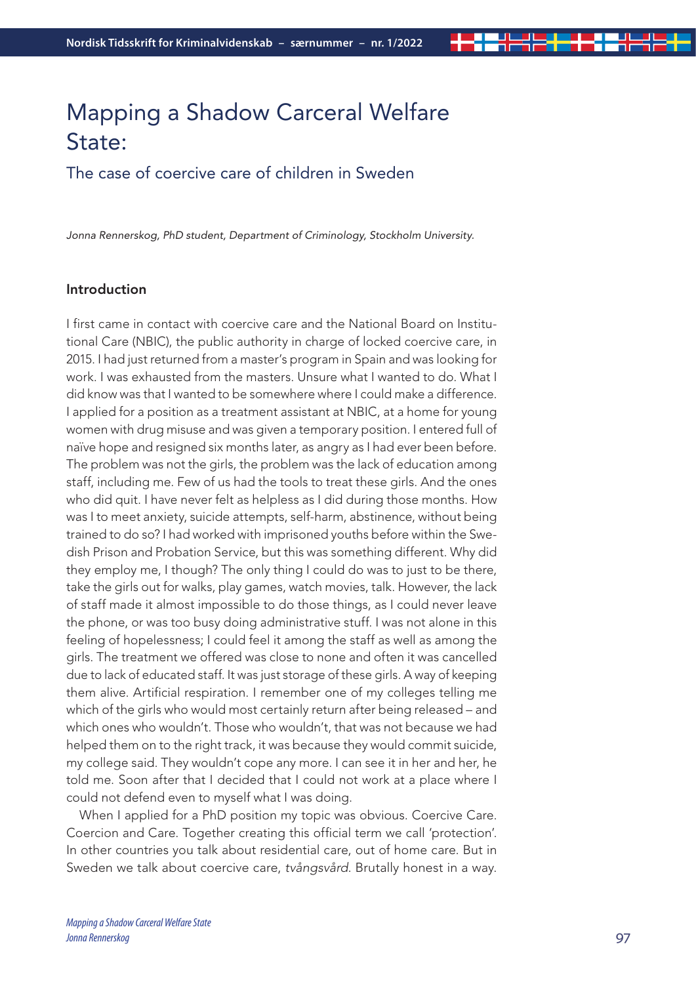# Mapping a Shadow Carceral Welfare State:

The case of coercive care of children in Sweden

*Jonna Rennerskog, PhD student, Department of Criminology, Stockholm University.* 

## Introduction

I first came in contact with coercive care and the National Board on Institutional Care (NBIC), the public authority in charge of locked coercive care, in 2015. I had just returned from a master's program in Spain and was looking for work. I was exhausted from the masters. Unsure what I wanted to do. What I did know was that I wanted to be somewhere where I could make a difference. I applied for a position as a treatment assistant at NBIC, at a home for young women with drug misuse and was given a temporary position. I entered full of naïve hope and resigned six months later, as angry as I had ever been before. The problem was not the girls, the problem was the lack of education among staff, including me. Few of us had the tools to treat these girls. And the ones who did quit. I have never felt as helpless as I did during those months. How was I to meet anxiety, suicide attempts, self-harm, abstinence, without being trained to do so? I had worked with imprisoned youths before within the Swedish Prison and Probation Service, but this was something different. Why did they employ me, I though? The only thing I could do was to just to be there, take the girls out for walks, play games, watch movies, talk. However, the lack of staff made it almost impossible to do those things, as I could never leave the phone, or was too busy doing administrative stuff. I was not alone in this feeling of hopelessness; I could feel it among the staff as well as among the girls. The treatment we offered was close to none and often it was cancelled due to lack of educated staff. It was just storage of these girls. A way of keeping them alive. Artificial respiration. I remember one of my colleges telling me which of the girls who would most certainly return after being released – and which ones who wouldn't. Those who wouldn't, that was not because we had helped them on to the right track, it was because they would commit suicide, my college said. They wouldn't cope any more. I can see it in her and her, he told me. Soon after that I decided that I could not work at a place where I could not defend even to myself what I was doing.

When I applied for a PhD position my topic was obvious. Coercive Care. Coercion and Care. Together creating this official term we call 'protection'. In other countries you talk about residential care, out of home care. But in Sweden we talk about coercive care, *tvångsvård*. Brutally honest in a way.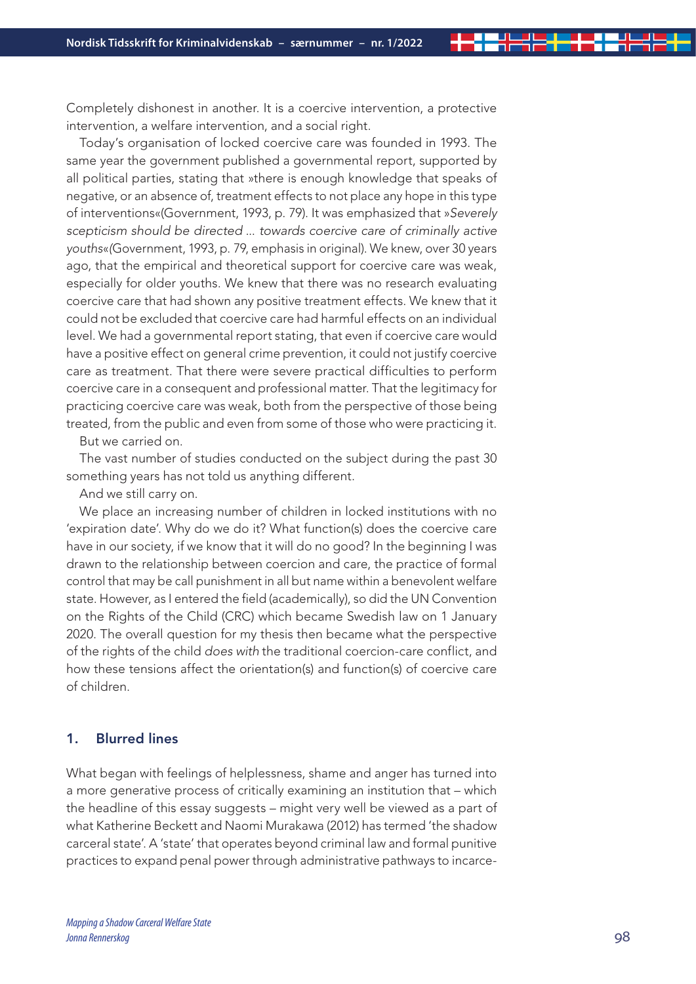Completely dishonest in another. It is a coercive intervention, a protective intervention, a welfare intervention, and a social right.

Today's organisation of locked coercive care was founded in 1993. The same year the government published a governmental report, supported by all political parties, stating that »there is enough knowledge that speaks of negative, or an absence of, treatment effects to not place any hope in this type of interventions«(Government, 1993, p. 79). It was emphasized that »*Severely scepticism should be directed* ... *towards coercive care of criminally active youths*«*(*Government, 1993, p. 79, emphasis in original). We knew, over 30 years ago, that the empirical and theoretical support for coercive care was weak, especially for older youths. We knew that there was no research evaluating coercive care that had shown any positive treatment effects. We knew that it could not be excluded that coercive care had harmful effects on an individual level. We had a governmental report stating, that even if coercive care would have a positive effect on general crime prevention, it could not justify coercive care as treatment. That there were severe practical difficulties to perform coercive care in a consequent and professional matter. That the legitimacy for practicing coercive care was weak, both from the perspective of those being treated, from the public and even from some of those who were practicing it.

But we carried on.

The vast number of studies conducted on the subject during the past 30 something years has not told us anything different.

And we still carry on.

We place an increasing number of children in locked institutions with no 'expiration date'. Why do we do it? What function(s) does the coercive care have in our society, if we know that it will do no good? In the beginning I was drawn to the relationship between coercion and care, the practice of formal control that may be call punishment in all but name within a benevolent welfare state. However, as I entered the field (academically), so did the UN Convention on the Rights of the Child (CRC) which became Swedish law on 1 January 2020. The overall question for my thesis then became what the perspective of the rights of the child *does with* the traditional coercion-care conflict, and how these tensions affect the orientation(s) and function(s) of coercive care of children.

## 1. Blurred lines

What began with feelings of helplessness, shame and anger has turned into a more generative process of critically examining an institution that – which the headline of this essay suggests – might very well be viewed as a part of what Katherine Beckett and Naomi Murakawa (2012) has termed 'the shadow carceral state'. A 'state' that operates beyond criminal law and formal punitive practices to expand penal power through administrative pathways to incarce-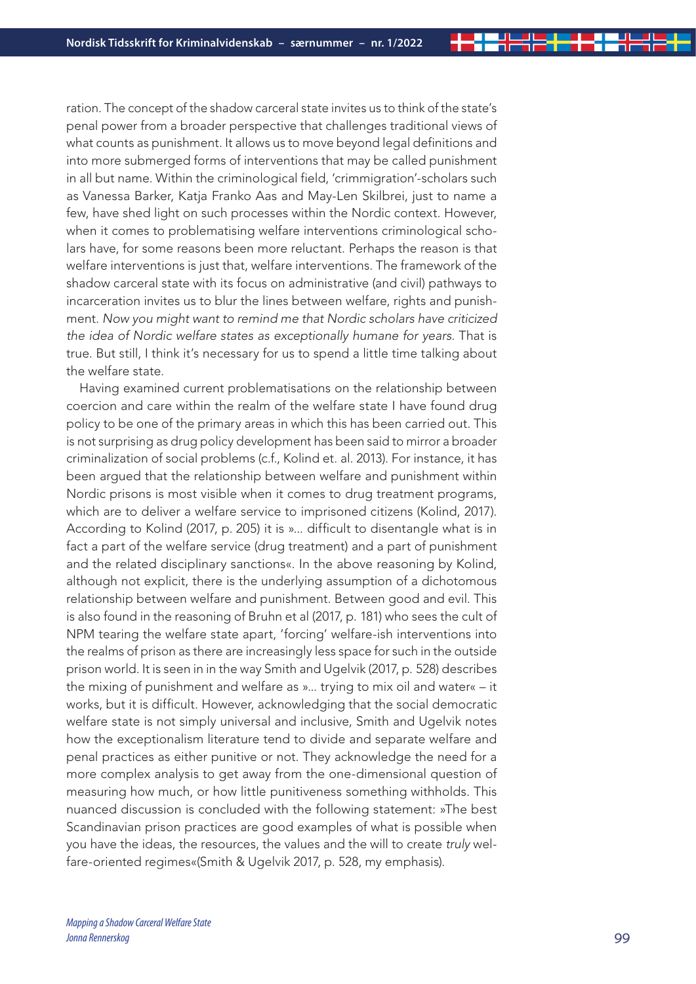ration. The concept of the shadow carceral state invites us to think of the state's penal power from a broader perspective that challenges traditional views of what counts as punishment. It allows us to move beyond legal definitions and into more submerged forms of interventions that may be called punishment in all but name. Within the criminological field, 'crimmigration'-scholars such as Vanessa Barker, Katja Franko Aas and May-Len Skilbrei, just to name a few, have shed light on such processes within the Nordic context. However, when it comes to problematising welfare interventions criminological scholars have, for some reasons been more reluctant. Perhaps the reason is that welfare interventions is just that, welfare interventions. The framework of the shadow carceral state with its focus on administrative (and civil) pathways to incarceration invites us to blur the lines between welfare, rights and punishment. *Now you might want to remind me that Nordic scholars have criticized the idea of Nordic welfare states as exceptionally humane for years.* That is true. But still, I think it's necessary for us to spend a little time talking about the welfare state.

Having examined current problematisations on the relationship between coercion and care within the realm of the welfare state I have found drug policy to be one of the primary areas in which this has been carried out. This is not surprising as drug policy development has been said to mirror a broader criminalization of social problems (c.f., Kolind et. al. 2013). For instance, it has been argued that the relationship between welfare and punishment within Nordic prisons is most visible when it comes to drug treatment programs, which are to deliver a welfare service to imprisoned citizens (Kolind, 2017). According to Kolind (2017, p. 205) it is »... difficult to disentangle what is in fact a part of the welfare service (drug treatment) and a part of punishment and the related disciplinary sanctions«. In the above reasoning by Kolind, although not explicit, there is the underlying assumption of a dichotomous relationship between welfare and punishment. Between good and evil. This is also found in the reasoning of Bruhn et al (2017, p. 181) who sees the cult of NPM tearing the welfare state apart, 'forcing' welfare-ish interventions into the realms of prison as there are increasingly less space for such in the outside prison world. It is seen in in the way Smith and Ugelvik (2017, p. 528) describes the mixing of punishment and welfare as »... trying to mix oil and water« – it works, but it is difficult. However, acknowledging that the social democratic welfare state is not simply universal and inclusive, Smith and Ugelvik notes how the exceptionalism literature tend to divide and separate welfare and penal practices as either punitive or not. They acknowledge the need for a more complex analysis to get away from the one-dimensional question of measuring how much, or how little punitiveness something withholds. This nuanced discussion is concluded with the following statement: »The best Scandinavian prison practices are good examples of what is possible when you have the ideas, the resources, the values and the will to create *truly* welfare-oriented regimes«(Smith & Ugelvik 2017, p. 528, my emphasis).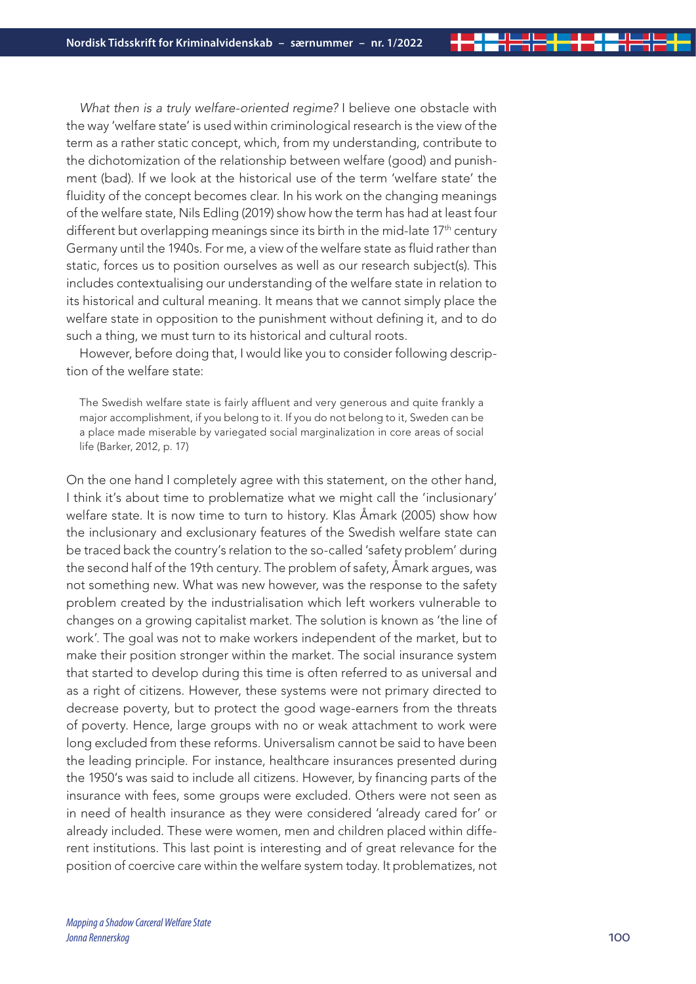*What then is a truly welfare-oriented regime?* I believe one obstacle with the way 'welfare state' is used within criminological research is the view of the term as a rather static concept, which, from my understanding, contribute to the dichotomization of the relationship between welfare (good) and punishment (bad). If we look at the historical use of the term 'welfare state' the fluidity of the concept becomes clear. In his work on the changing meanings of the welfare state, Nils Edling (2019) show how the term has had at least four different but overlapping meanings since its birth in the mid-late 17<sup>th</sup> century Germany until the 1940s. For me, a view of the welfare state as fluid rather than static, forces us to position ourselves as well as our research subject(s). This includes contextualising our understanding of the welfare state in relation to its historical and cultural meaning. It means that we cannot simply place the welfare state in opposition to the punishment without defining it, and to do such a thing, we must turn to its historical and cultural roots.

However, before doing that, I would like you to consider following description of the welfare state:

The Swedish welfare state is fairly affluent and very generous and quite frankly a major accomplishment, if you belong to it. If you do not belong to it, Sweden can be a place made miserable by variegated social marginalization in core areas of social life (Barker, 2012, p. 17)

On the one hand I completely agree with this statement, on the other hand, I think it's about time to problematize what we might call the 'inclusionary' welfare state. It is now time to turn to history. Klas Åmark (2005) show how the inclusionary and exclusionary features of the Swedish welfare state can be traced back the country's relation to the so-called 'safety problem' during the second half of the 19th century. The problem of safety, Åmark argues, was not something new. What was new however, was the response to the safety problem created by the industrialisation which left workers vulnerable to changes on a growing capitalist market. The solution is known as 'the line of work'. The goal was not to make workers independent of the market, but to make their position stronger within the market. The social insurance system that started to develop during this time is often referred to as universal and as a right of citizens. However, these systems were not primary directed to decrease poverty, but to protect the good wage-earners from the threats of poverty. Hence, large groups with no or weak attachment to work were long excluded from these reforms. Universalism cannot be said to have been the leading principle. For instance, healthcare insurances presented during the 1950's was said to include all citizens. However, by financing parts of the insurance with fees, some groups were excluded. Others were not seen as in need of health insurance as they were considered 'already cared for' or already included. These were women, men and children placed within different institutions. This last point is interesting and of great relevance for the position of coercive care within the welfare system today. It problematizes, not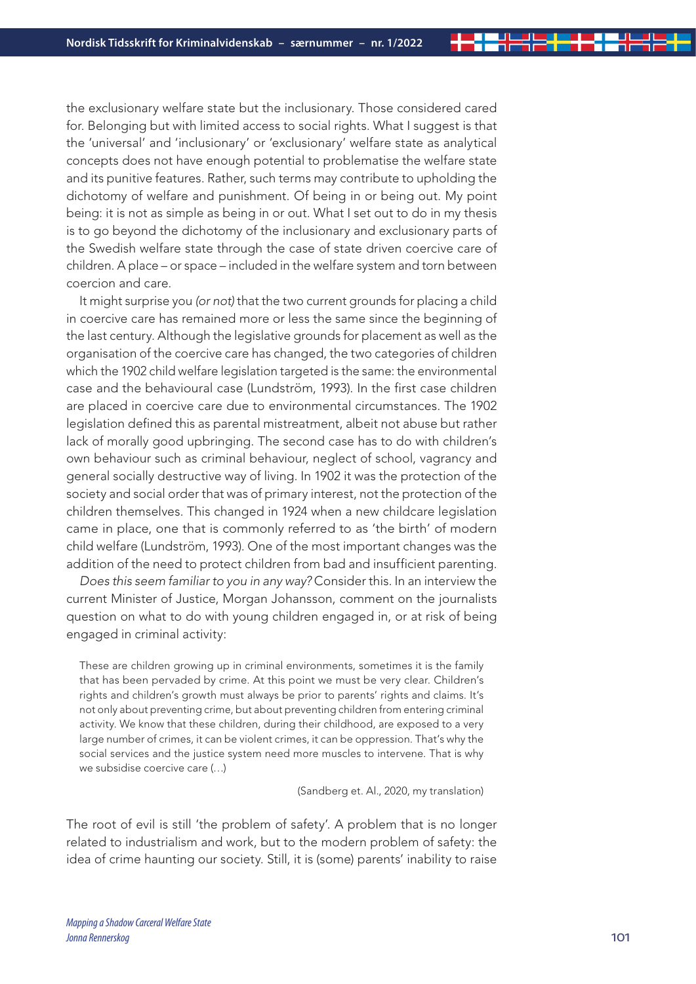the exclusionary welfare state but the inclusionary. Those considered cared for. Belonging but with limited access to social rights. What I suggest is that the 'universal' and 'inclusionary' or 'exclusionary' welfare state as analytical concepts does not have enough potential to problematise the welfare state and its punitive features. Rather, such terms may contribute to upholding the dichotomy of welfare and punishment. Of being in or being out. My point being: it is not as simple as being in or out. What I set out to do in my thesis is to go beyond the dichotomy of the inclusionary and exclusionary parts of the Swedish welfare state through the case of state driven coercive care of children. A place – or space – included in the welfare system and torn between coercion and care.

It might surprise you *(or not)* that the two current grounds for placing a child in coercive care has remained more or less the same since the beginning of the last century. Although the legislative grounds for placement as well as the organisation of the coercive care has changed, the two categories of children which the 1902 child welfare legislation targeted is the same: the environmental case and the behavioural case (Lundström, 1993). In the first case children are placed in coercive care due to environmental circumstances. The 1902 legislation defined this as parental mistreatment, albeit not abuse but rather lack of morally good upbringing. The second case has to do with children's own behaviour such as criminal behaviour, neglect of school, vagrancy and general socially destructive way of living. In 1902 it was the protection of the society and social order that was of primary interest, not the protection of the children themselves. This changed in 1924 when a new childcare legislation came in place, one that is commonly referred to as 'the birth' of modern child welfare (Lundström, 1993). One of the most important changes was the addition of the need to protect children from bad and insufficient parenting.

*Does this seem familiar to you in any way?* Consider this. In an interview the current Minister of Justice, Morgan Johansson, comment on the journalists question on what to do with young children engaged in, or at risk of being engaged in criminal activity:

These are children growing up in criminal environments, sometimes it is the family that has been pervaded by crime. At this point we must be very clear. Children's rights and children's growth must always be prior to parents' rights and claims. It's not only about preventing crime, but about preventing children from entering criminal activity. We know that these children, during their childhood, are exposed to a very large number of crimes, it can be violent crimes, it can be oppression. That's why the social services and the justice system need more muscles to intervene. That is why we subsidise coercive care (…)

(Sandberg et. Al., 2020, my translation)

The root of evil is still 'the problem of safety'. A problem that is no longer related to industrialism and work, but to the modern problem of safety: the idea of crime haunting our society. Still, it is (some) parents' inability to raise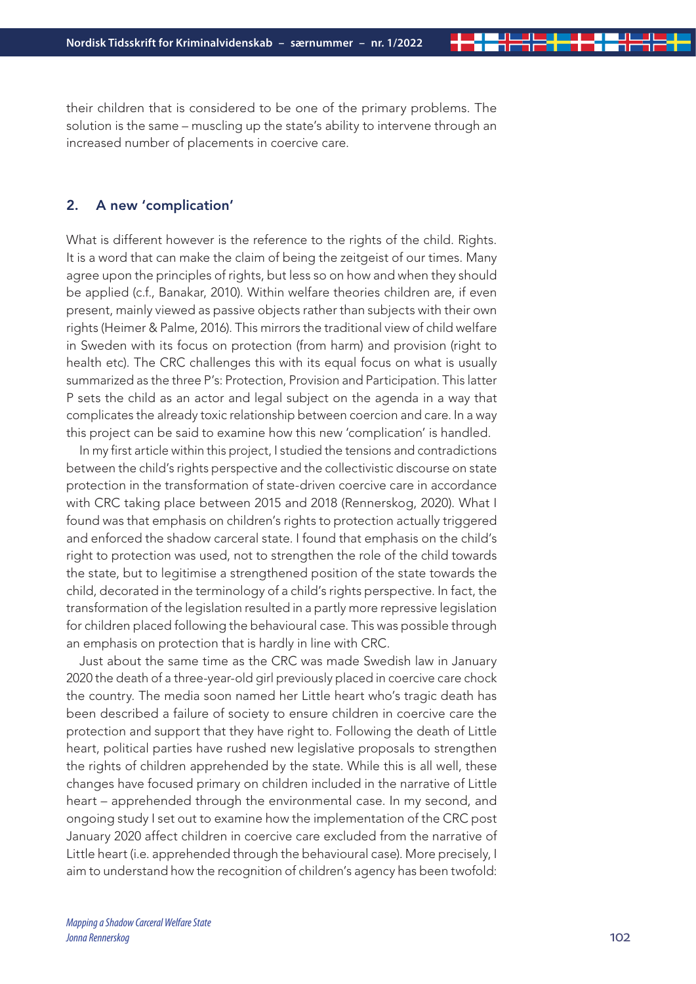their children that is considered to be one of the primary problems. The solution is the same – muscling up the state's ability to intervene through an increased number of placements in coercive care.

### 2. A new 'complication'

What is different however is the reference to the rights of the child. Rights. It is a word that can make the claim of being the zeitgeist of our times. Many agree upon the principles of rights, but less so on how and when they should be applied (c.f., Banakar, 2010). Within welfare theories children are, if even present, mainly viewed as passive objects rather than subjects with their own rights (Heimer & Palme, 2016). This mirrors the traditional view of child welfare in Sweden with its focus on protection (from harm) and provision (right to health etc). The CRC challenges this with its equal focus on what is usually summarized as the three P's: Protection, Provision and Participation. This latter P sets the child as an actor and legal subject on the agenda in a way that complicates the already toxic relationship between coercion and care. In a way this project can be said to examine how this new 'complication' is handled.

In my first article within this project, I studied the tensions and contradictions between the child's rights perspective and the collectivistic discourse on state protection in the transformation of state-driven coercive care in accordance with CRC taking place between 2015 and 2018 (Rennerskog, 2020). What I found was that emphasis on children's rights to protection actually triggered and enforced the shadow carceral state. I found that emphasis on the child's right to protection was used, not to strengthen the role of the child towards the state, but to legitimise a strengthened position of the state towards the child, decorated in the terminology of a child's rights perspective. In fact, the transformation of the legislation resulted in a partly more repressive legislation for children placed following the behavioural case. This was possible through an emphasis on protection that is hardly in line with CRC.

Just about the same time as the CRC was made Swedish law in January 2020 the death of a three-year-old girl previously placed in coercive care chock the country. The media soon named her Little heart who's tragic death has been described a failure of society to ensure children in coercive care the protection and support that they have right to. Following the death of Little heart, political parties have rushed new legislative proposals to strengthen the rights of children apprehended by the state. While this is all well, these changes have focused primary on children included in the narrative of Little heart – apprehended through the environmental case. In my second, and ongoing study I set out to examine how the implementation of the CRC post January 2020 affect children in coercive care excluded from the narrative of Little heart (i.e. apprehended through the behavioural case). More precisely, I aim to understand how the recognition of children's agency has been twofold: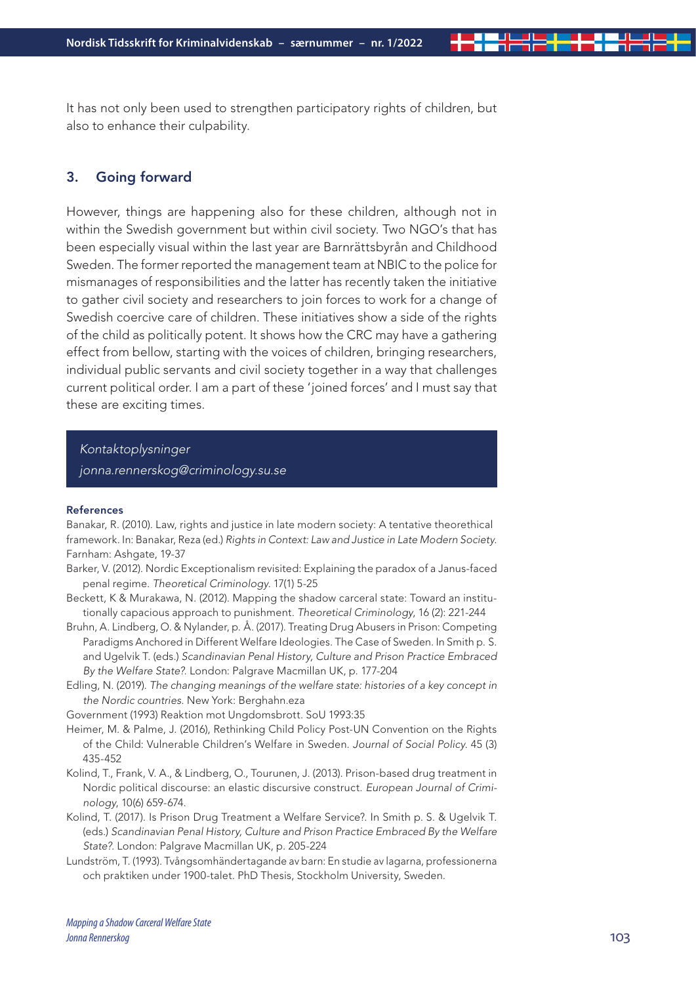It has not only been used to strengthen participatory rights of children, but also to enhance their culpability.

## 3. Going forward

However, things are happening also for these children, although not in within the Swedish government but within civil society. Two NGO's that has been especially visual within the last year are Barnrättsbyrån and Childhood Sweden. The former reported the management team at NBIC to the police for mismanages of responsibilities and the latter has recently taken the initiative to gather civil society and researchers to join forces to work for a change of Swedish coercive care of children. These initiatives show a side of the rights of the child as politically potent. It shows how the CRC may have a gathering effect from bellow, starting with the voices of children, bringing researchers, individual public servants and civil society together in a way that challenges current political order. I am a part of these 'joined forces' and I must say that these are exciting times.

*Kontaktoplysninger jonna.rennerskog@criminology.su.se*

#### References

Banakar, R. (2010). Law, rights and justice in late modern society: A tentative theorethical framework. In: Banakar, Reza (ed.) *Rights in Context: Law and Justice in Late Modern Society.* Farnham: Ashgate, 19-37

- Barker, V. (2012). Nordic Exceptionalism revisited: Explaining the paradox of a Janus-faced penal regime. *Theoretical Criminology*. 17(1) 5-25
- Beckett, K & Murakawa, N. (2012). Mapping the shadow carceral state: Toward an institutionally capacious approach to punishment. *Theoretical Criminology*, 16 (2): 221-244
- Bruhn, A. Lindberg, O. & Nylander, p. Å. (2017). Treating Drug Abusers in Prison: Competing Paradigms Anchored in Different Welfare Ideologies. The Case of Sweden. In Smith p. S. and Ugelvik T. (eds.) *Scandinavian Penal History, Culture and Prison Practice Embraced By the Welfare State?*. London: Palgrave Macmillan UK, p. 177-204
- Edling, N. (2019). *The changing meanings of the welfare state: histories of a key concept in the Nordic countries.* New York: Berghahn.eza

Government (1993) Reaktion mot Ungdomsbrott. SoU 1993:35

- Heimer, M. & Palme, J. (2016), Rethinking Child Policy Post-UN Convention on the Rights of the Child: Vulnerable Children's Welfare in Sweden. *Journal of Social Policy.* 45 (3) 435-452
- Kolind, T., Frank, V. A., & Lindberg, O., Tourunen, J. (2013). Prison-based drug treatment in Nordic political discourse: an elastic discursive construct. *European Journal of Criminology*, 10(6) 659-674.
- Kolind, T. (2017). Is Prison Drug Treatment a Welfare Service?. In Smith p. S. & Ugelvik T. (eds.) *Scandinavian Penal History, Culture and Prison Practice Embraced By the Welfare State?*. London: Palgrave Macmillan UK, p. 205-224
- Lundström, T. (1993). Tvångsomhändertagande av barn: En studie av lagarna, professionerna och praktiken under 1900-talet. PhD Thesis, Stockholm University, Sweden.